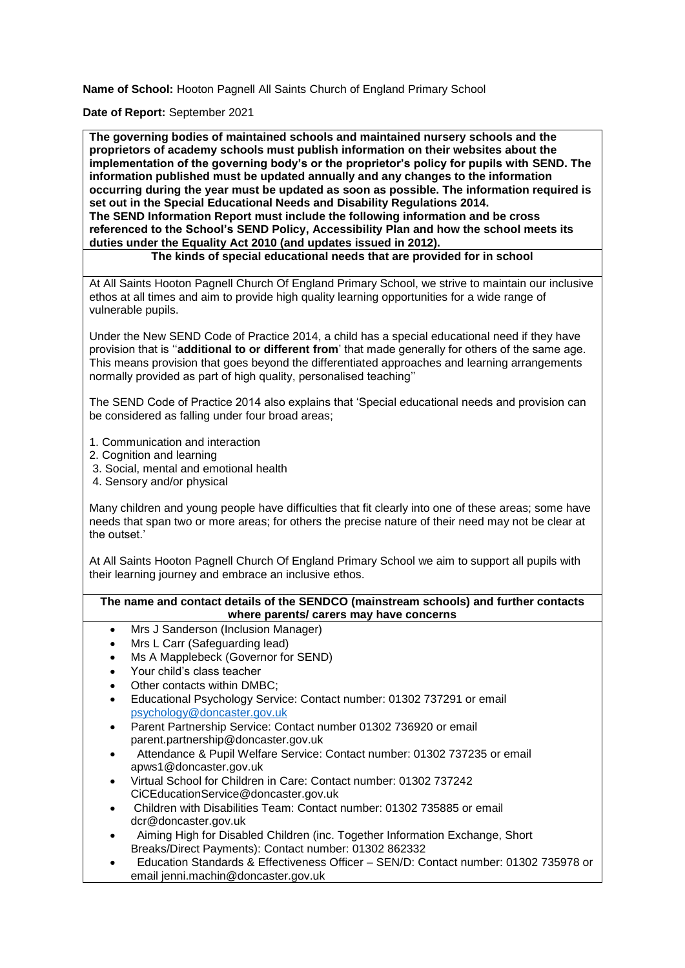**Name of School:** Hooton Pagnell All Saints Church of England Primary School

**Date of Report:** September 2021

**The governing bodies of maintained schools and maintained nursery schools and the proprietors of academy schools must publish information on their websites about the implementation of the governing body's or the proprietor's policy for pupils with SEND. The information published must be updated annually and any changes to the information occurring during the year must be updated as soon as possible. The information required is set out in the Special Educational Needs and Disability Regulations 2014. The SEND Information Report must include the following information and be cross referenced to the School's SEND Policy, Accessibility Plan and how the school meets its duties under the Equality Act 2010 (and updates issued in 2012).** 

**The kinds of special educational needs that are provided for in school**

At All Saints Hooton Pagnell Church Of England Primary School, we strive to maintain our inclusive ethos at all times and aim to provide high quality learning opportunities for a wide range of vulnerable pupils.

Under the New SEND Code of Practice 2014, a child has a special educational need if they have provision that is ''**additional to or different from**' that made generally for others of the same age. This means provision that goes beyond the differentiated approaches and learning arrangements normally provided as part of high quality, personalised teaching''

The SEND Code of Practice 2014 also explains that 'Special educational needs and provision can be considered as falling under four broad areas;

- 1. Communication and interaction
- 2. Cognition and learning
- 3. Social, mental and emotional health
- 4. Sensory and/or physical

Many children and young people have difficulties that fit clearly into one of these areas; some have needs that span two or more areas; for others the precise nature of their need may not be clear at the outset.'

At All Saints Hooton Pagnell Church Of England Primary School we aim to support all pupils with their learning journey and embrace an inclusive ethos.

#### **The name and contact details of the SENDCO (mainstream schools) and further contacts where parents/ carers may have concerns**

- Mrs J Sanderson (Inclusion Manager)
- Mrs L Carr (Safeguarding lead)
- Ms A Mapplebeck (Governor for SEND)
- Your child's class teacher
- Other contacts within DMBC;
- Educational Psychology Service: Contact number: 01302 737291 or email [psychology@doncaster.gov.uk](mailto:psychology@doncaster.gov.uk)
- Parent Partnership Service: Contact number 01302 736920 or email parent.partnership@doncaster.gov.uk
- Attendance & Pupil Welfare Service: Contact number: 01302 737235 or email apws1@doncaster.gov.uk
- Virtual School for Children in Care: Contact number: 01302 737242 CiCEducationService@doncaster.gov.uk
- Children with Disabilities Team: Contact number: 01302 735885 or email dcr@doncaster.gov.uk
- Aiming High for Disabled Children (inc. Together Information Exchange, Short Breaks/Direct Payments): Contact number: 01302 862332
- Education Standards & Effectiveness Officer SEN/D: Contact number: 01302 735978 or email jenni.machin@doncaster.gov.uk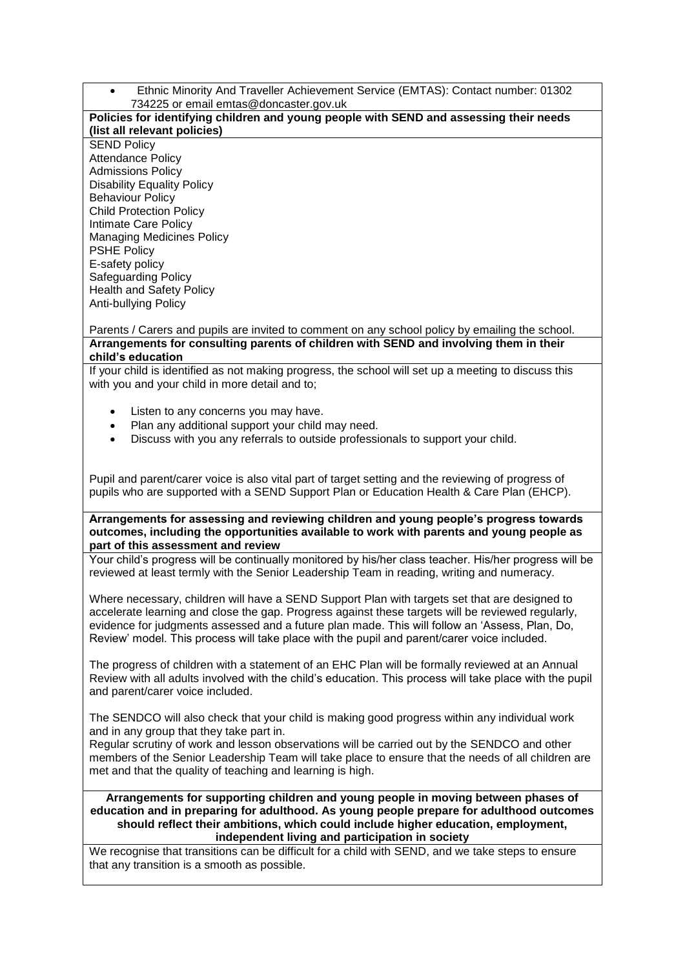Ethnic Minority And Traveller Achievement Service (EMTAS): Contact number: 01302 734225 or email emtas@doncaster.gov.uk

### **Policies for identifying children and young people with SEND and assessing their needs (list all relevant policies)**

**SEND Policy** Attendance Policy Admissions Policy Disability Equality Policy Behaviour Policy Child Protection Policy Intimate Care Policy Managing Medicines Policy PSHE Policy E-safety policy Safeguarding Policy Health and Safety Policy Anti-bullying Policy

Parents / Carers and pupils are invited to comment on any school policy by emailing the school. **Arrangements for consulting parents of children with SEND and involving them in their child's education**

If your child is identified as not making progress, the school will set up a meeting to discuss this with you and your child in more detail and to;

- Listen to any concerns you may have.
- Plan any additional support your child may need.
- Discuss with you any referrals to outside professionals to support your child.

Pupil and parent/carer voice is also vital part of target setting and the reviewing of progress of pupils who are supported with a SEND Support Plan or Education Health & Care Plan (EHCP).

**Arrangements for assessing and reviewing children and young people's progress towards outcomes, including the opportunities available to work with parents and young people as part of this assessment and review**

Your child's progress will be continually monitored by his/her class teacher. His/her progress will be reviewed at least termly with the Senior Leadership Team in reading, writing and numeracy.

Where necessary, children will have a SEND Support Plan with targets set that are designed to accelerate learning and close the gap. Progress against these targets will be reviewed regularly, evidence for judgments assessed and a future plan made. This will follow an 'Assess, Plan, Do, Review' model. This process will take place with the pupil and parent/carer voice included.

The progress of children with a statement of an EHC Plan will be formally reviewed at an Annual Review with all adults involved with the child's education. This process will take place with the pupil and parent/carer voice included.

The SENDCO will also check that your child is making good progress within any individual work and in any group that they take part in.

Regular scrutiny of work and lesson observations will be carried out by the SENDCO and other members of the Senior Leadership Team will take place to ensure that the needs of all children are met and that the quality of teaching and learning is high.

**Arrangements for supporting children and young people in moving between phases of education and in preparing for adulthood. As young people prepare for adulthood outcomes should reflect their ambitions, which could include higher education, employment, independent living and participation in society**

We recognise that transitions can be difficult for a child with SEND, and we take steps to ensure that any transition is a smooth as possible.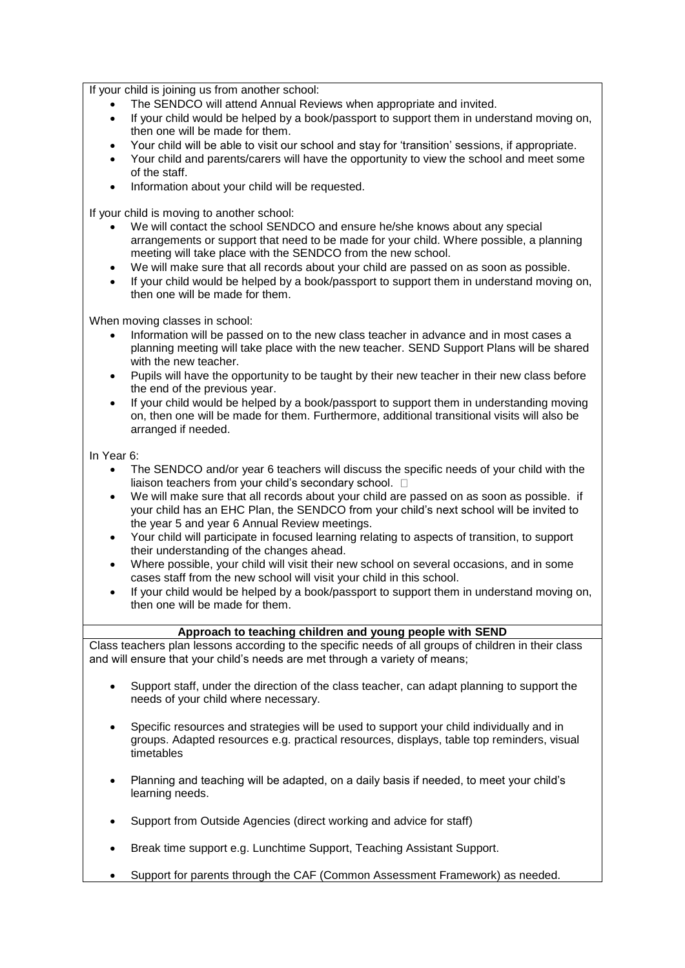If your child is joining us from another school:

- The SENDCO will attend Annual Reviews when appropriate and invited.
- If your child would be helped by a book/passport to support them in understand moving on, then one will be made for them.
- Your child will be able to visit our school and stay for 'transition' sessions, if appropriate.
- Your child and parents/carers will have the opportunity to view the school and meet some of the staff.
- Information about your child will be requested.

If your child is moving to another school:

- We will contact the school SENDCO and ensure he/she knows about any special arrangements or support that need to be made for your child. Where possible, a planning meeting will take place with the SENDCO from the new school.
- We will make sure that all records about your child are passed on as soon as possible.
- If your child would be helped by a book/passport to support them in understand moving on, then one will be made for them.

When moving classes in school:

- Information will be passed on to the new class teacher in advance and in most cases a planning meeting will take place with the new teacher. SEND Support Plans will be shared with the new teacher.
- Pupils will have the opportunity to be taught by their new teacher in their new class before the end of the previous year.
- If your child would be helped by a book/passport to support them in understanding moving on, then one will be made for them. Furthermore, additional transitional visits will also be arranged if needed.

In Year 6:

- The SENDCO and/or year 6 teachers will discuss the specific needs of your child with the liaison teachers from your child's secondary school.  $\square$
- We will make sure that all records about your child are passed on as soon as possible. if your child has an EHC Plan, the SENDCO from your child's next school will be invited to the year 5 and year 6 Annual Review meetings.
- Your child will participate in focused learning relating to aspects of transition, to support their understanding of the changes ahead.
- Where possible, your child will visit their new school on several occasions, and in some cases staff from the new school will visit your child in this school.
- If your child would be helped by a book/passport to support them in understand moving on, then one will be made for them.

## **Approach to teaching children and young people with SEND**

Class teachers plan lessons according to the specific needs of all groups of children in their class and will ensure that your child's needs are met through a variety of means;

- Support staff, under the direction of the class teacher, can adapt planning to support the needs of your child where necessary.
- Specific resources and strategies will be used to support your child individually and in groups. Adapted resources e.g. practical resources, displays, table top reminders, visual timetables
- Planning and teaching will be adapted, on a daily basis if needed, to meet your child's learning needs.
- Support from Outside Agencies (direct working and advice for staff)
- Break time support e.g. Lunchtime Support, Teaching Assistant Support.
- Support for parents through the CAF (Common Assessment Framework) as needed.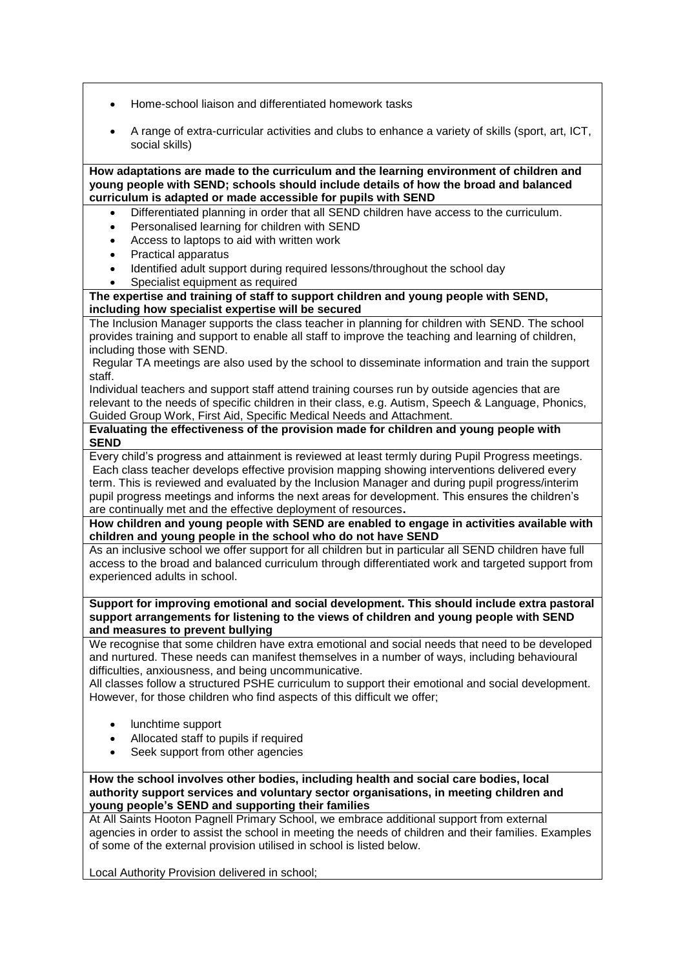- Home-school liaison and differentiated homework tasks
- A range of extra-curricular activities and clubs to enhance a variety of skills (sport, art, ICT, social skills)

**How adaptations are made to the curriculum and the learning environment of children and young people with SEND; schools should include details of how the broad and balanced curriculum is adapted or made accessible for pupils with SEND**

- Differentiated planning in order that all SEND children have access to the curriculum.
- Personalised learning for children with SEND
- Access to laptops to aid with written work
- Practical apparatus
- Identified adult support during required lessons/throughout the school day
- Specialist equipment as required

**The expertise and training of staff to support children and young people with SEND, including how specialist expertise will be secured**

The Inclusion Manager supports the class teacher in planning for children with SEND. The school provides training and support to enable all staff to improve the teaching and learning of children, including those with SEND.

Regular TA meetings are also used by the school to disseminate information and train the support staff.

Individual teachers and support staff attend training courses run by outside agencies that are relevant to the needs of specific children in their class, e.g. Autism, Speech & Language, Phonics, Guided Group Work, First Aid, Specific Medical Needs and Attachment.

**Evaluating the effectiveness of the provision made for children and young people with SEND**

Every child's progress and attainment is reviewed at least termly during Pupil Progress meetings. Each class teacher develops effective provision mapping showing interventions delivered every term. This is reviewed and evaluated by the Inclusion Manager and during pupil progress/interim pupil progress meetings and informs the next areas for development. This ensures the children's are continually met and the effective deployment of resources**.**

**How children and young people with SEND are enabled to engage in activities available with children and young people in the school who do not have SEND**

As an inclusive school we offer support for all children but in particular all SEND children have full access to the broad and balanced curriculum through differentiated work and targeted support from experienced adults in school.

**Support for improving emotional and social development. This should include extra pastoral support arrangements for listening to the views of children and young people with SEND and measures to prevent bullying**

We recognise that some children have extra emotional and social needs that need to be developed and nurtured. These needs can manifest themselves in a number of ways, including behavioural difficulties, anxiousness, and being uncommunicative.

All classes follow a structured PSHE curriculum to support their emotional and social development. However, for those children who find aspects of this difficult we offer;

- lunchtime support
- Allocated staff to pupils if required
- Seek support from other agencies

**How the school involves other bodies, including health and social care bodies, local authority support services and voluntary sector organisations, in meeting children and young people's SEND and supporting their families**

At All Saints Hooton Pagnell Primary School, we embrace additional support from external agencies in order to assist the school in meeting the needs of children and their families. Examples of some of the external provision utilised in school is listed below.

Local Authority Provision delivered in school;